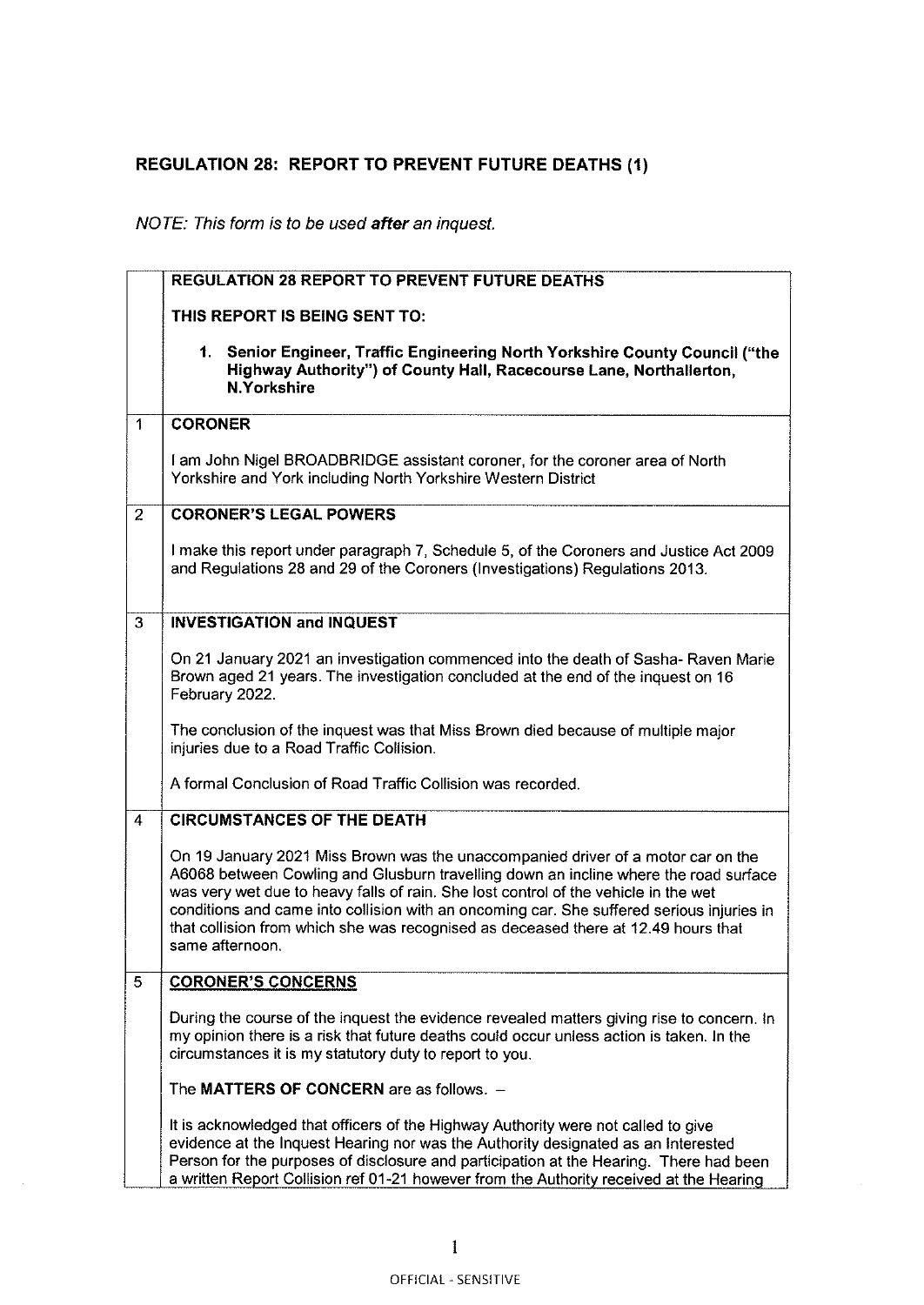## REGULATION 28: REPORT TO PREVENT FUTURE DEATHS (1)

## NOTE: This form is to be used after an inquest.

|                | <b>REGULATION 28 REPORT TO PREVENT FUTURE DEATHS</b>                                                                                                                                                                                                                                                                                                                                                                                                                  |
|----------------|-----------------------------------------------------------------------------------------------------------------------------------------------------------------------------------------------------------------------------------------------------------------------------------------------------------------------------------------------------------------------------------------------------------------------------------------------------------------------|
|                | THIS REPORT IS BEING SENT TO:                                                                                                                                                                                                                                                                                                                                                                                                                                         |
|                | 1. Senior Engineer, Traffic Engineering North Yorkshire County Council ("the<br>Highway Authority") of County Hall, Racecourse Lane, Northallerton,<br><b>N.Yorkshire</b>                                                                                                                                                                                                                                                                                             |
| 1              | <b>CORONER</b>                                                                                                                                                                                                                                                                                                                                                                                                                                                        |
|                | I am John Nigel BROADBRIDGE assistant coroner, for the coroner area of North<br>Yorkshire and York including North Yorkshire Western District                                                                                                                                                                                                                                                                                                                         |
| $\overline{2}$ | <b>CORONER'S LEGAL POWERS</b>                                                                                                                                                                                                                                                                                                                                                                                                                                         |
|                | I make this report under paragraph 7, Schedule 5, of the Coroners and Justice Act 2009<br>and Regulations 28 and 29 of the Coroners (Investigations) Regulations 2013.                                                                                                                                                                                                                                                                                                |
| 3              | <b>INVESTIGATION and INQUEST</b>                                                                                                                                                                                                                                                                                                                                                                                                                                      |
|                | On 21 January 2021 an investigation commenced into the death of Sasha-Raven Marie<br>Brown aged 21 years. The investigation concluded at the end of the inquest on 16<br>February 2022.                                                                                                                                                                                                                                                                               |
|                | The conclusion of the inquest was that Miss Brown died because of multiple major<br>injuries due to a Road Traffic Collision.                                                                                                                                                                                                                                                                                                                                         |
|                | A formal Conclusion of Road Traffic Collision was recorded.                                                                                                                                                                                                                                                                                                                                                                                                           |
| 4              | <b>CIRCUMSTANCES OF THE DEATH</b>                                                                                                                                                                                                                                                                                                                                                                                                                                     |
|                | On 19 January 2021 Miss Brown was the unaccompanied driver of a motor car on the<br>A6068 between Cowling and Glusburn travelling down an incline where the road surface<br>was very wet due to heavy falls of rain. She lost control of the vehicle in the wet<br>conditions and came into collision with an oncoming car. She suffered serious injuries in<br>that collision from which she was recognised as deceased there at 12.49 hours that<br>same afternoon. |
| 5              | <b>CORONER'S CONCERNS</b>                                                                                                                                                                                                                                                                                                                                                                                                                                             |
|                | During the course of the inquest the evidence revealed matters giving rise to concern. In<br>my opinion there is a risk that future deaths could occur unless action is taken. In the<br>circumstances it is my statutory duty to report to you.                                                                                                                                                                                                                      |
|                | The MATTERS OF CONCERN are as follows. -                                                                                                                                                                                                                                                                                                                                                                                                                              |
|                | It is acknowledged that officers of the Highway Authority were not called to give<br>evidence at the Inquest Hearing nor was the Authority designated as an Interested<br>Person for the purposes of disclosure and participation at the Hearing. There had been<br>a written Report Collision ref 01-21 however from the Authority received at the Hearing                                                                                                           |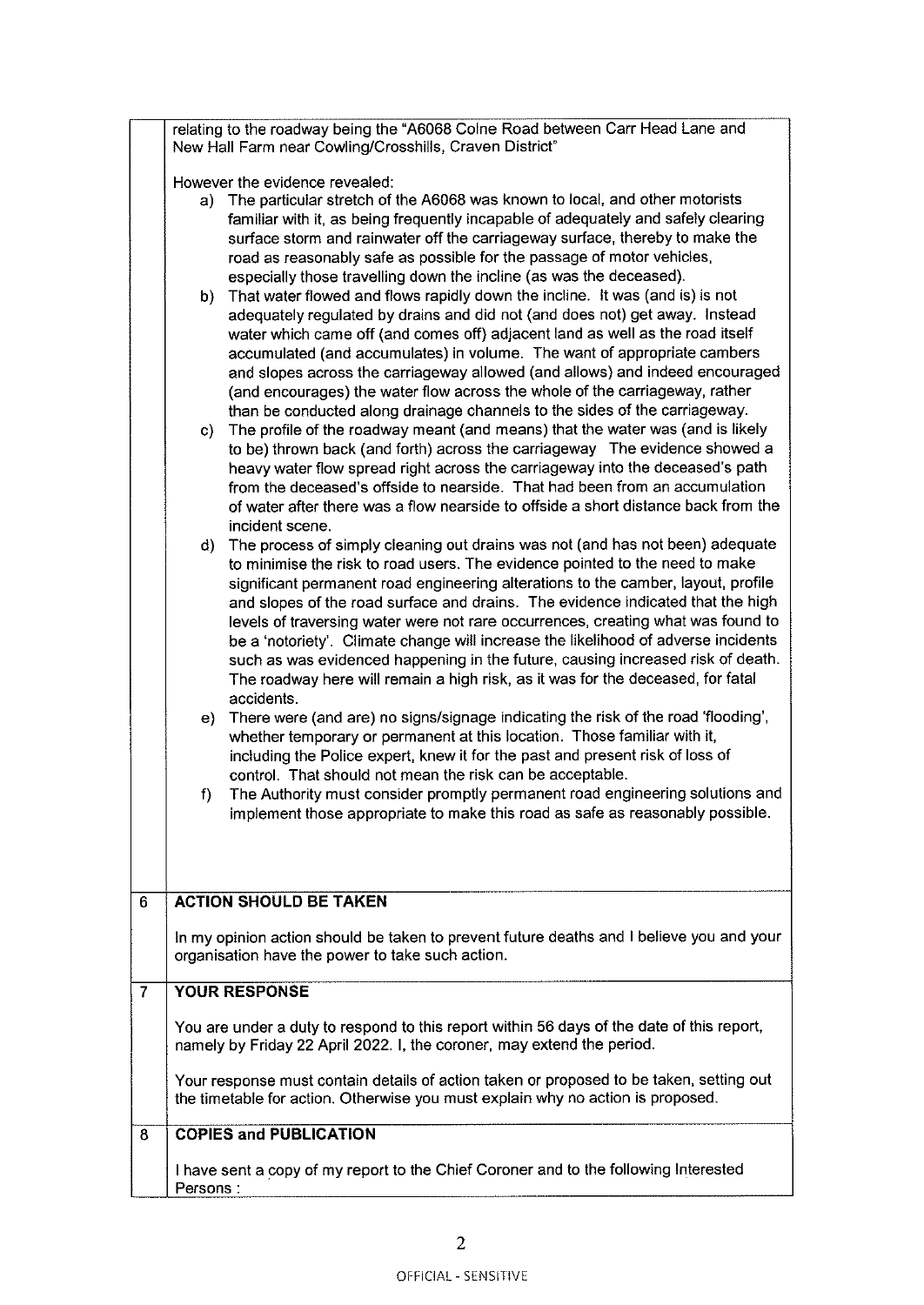|                |              | relating to the roadway being the "A6068 Colne Road between Carr Head Lane and<br>New Hall Farm near Cowling/Crosshills, Craven District" |
|----------------|--------------|-------------------------------------------------------------------------------------------------------------------------------------------|
|                |              | However the evidence revealed:                                                                                                            |
|                | a)           | The particular stretch of the A6068 was known to local, and other motorists                                                               |
|                |              | familiar with it, as being frequently incapable of adequately and safely clearing                                                         |
|                |              | surface storm and rainwater off the carriageway surface, thereby to make the                                                              |
|                |              | road as reasonably safe as possible for the passage of motor vehicles,                                                                    |
|                |              | especially those travelling down the incline (as was the deceased).                                                                       |
|                |              | That water flowed and flows rapidly down the incline. It was (and is) is not                                                              |
|                | b)           |                                                                                                                                           |
|                |              | adequately regulated by drains and did not (and does not) get away. Instead                                                               |
|                |              | water which came off (and comes off) adjacent land as well as the road itself                                                             |
|                |              | accumulated (and accumulates) in volume. The want of appropriate cambers                                                                  |
|                |              | and slopes across the carriageway allowed (and allows) and indeed encouraged                                                              |
|                |              | (and encourages) the water flow across the whole of the carriageway, rather                                                               |
|                |              | than be conducted along drainage channels to the sides of the carriageway.                                                                |
|                | C)           | The profile of the roadway meant (and means) that the water was (and is likely                                                            |
|                |              | to be) thrown back (and forth) across the carriageway The evidence showed a                                                               |
|                |              | heavy water flow spread right across the carriageway into the deceased's path                                                             |
|                |              | from the deceased's offside to nearside. That had been from an accumulation                                                               |
|                |              | of water after there was a flow nearside to offside a short distance back from the                                                        |
|                |              | incident scene.                                                                                                                           |
|                | $\mathsf{d}$ | The process of simply cleaning out drains was not (and has not been) adequate                                                             |
|                |              | to minimise the risk to road users. The evidence pointed to the need to make                                                              |
|                |              | significant permanent road engineering alterations to the camber, layout, profile                                                         |
|                |              | and slopes of the road surface and drains. The evidence indicated that the high                                                           |
|                |              | levels of traversing water were not rare occurrences, creating what was found to                                                          |
|                |              | be a 'notoriety'. Climate change will increase the likelihood of adverse incidents                                                        |
|                |              | such as was evidenced happening in the future, causing increased risk of death.                                                           |
|                |              | The roadway here will remain a high risk, as it was for the deceased, for fatal                                                           |
|                |              | accidents.                                                                                                                                |
|                | e).          | There were (and are) no signs/signage indicating the risk of the road 'flooding',                                                         |
|                |              | whether temporary or permanent at this location. Those familiar with it,                                                                  |
|                |              | including the Police expert, knew it for the past and present risk of loss of                                                             |
|                |              | control. That should not mean the risk can be acceptable.                                                                                 |
|                | f)           | The Authority must consider promptly permanent road engineering solutions and                                                             |
|                |              | implement those appropriate to make this road as safe as reasonably possible.                                                             |
|                |              |                                                                                                                                           |
|                |              |                                                                                                                                           |
|                |              |                                                                                                                                           |
| 6              |              | <b>ACTION SHOULD BE TAKEN</b>                                                                                                             |
|                |              |                                                                                                                                           |
|                |              | In my opinion action should be taken to prevent future deaths and I believe you and your                                                  |
|                |              | organisation have the power to take such action.                                                                                          |
| $\overline{7}$ |              | <b>YOUR RESPONSE</b>                                                                                                                      |
|                |              |                                                                                                                                           |
|                |              | You are under a duty to respond to this report within 56 days of the date of this report,                                                 |
|                |              | namely by Friday 22 April 2022. I, the coroner, may extend the period.                                                                    |
|                |              |                                                                                                                                           |
|                |              | Your response must contain details of action taken or proposed to be taken, setting out                                                   |
|                |              | the timetable for action. Otherwise you must explain why no action is proposed.                                                           |
| 8              |              | <b>COPIES and PUBLICATION</b>                                                                                                             |
|                |              |                                                                                                                                           |
|                |              | I have sent a copy of my report to the Chief Coroner and to the following Interested                                                      |
|                | Persons:     |                                                                                                                                           |